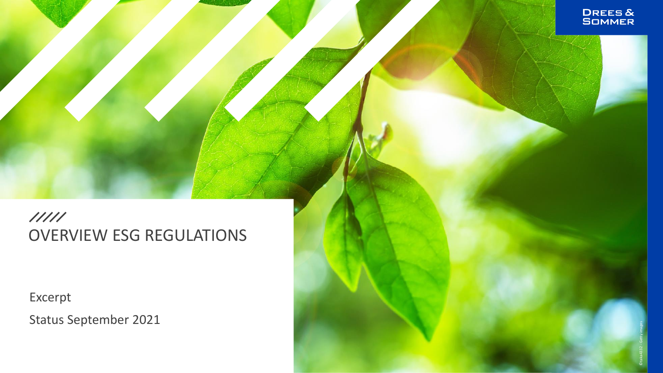### $11111$ OVERVIEW ESG REGULATIONS

Excerpt

Status September 2021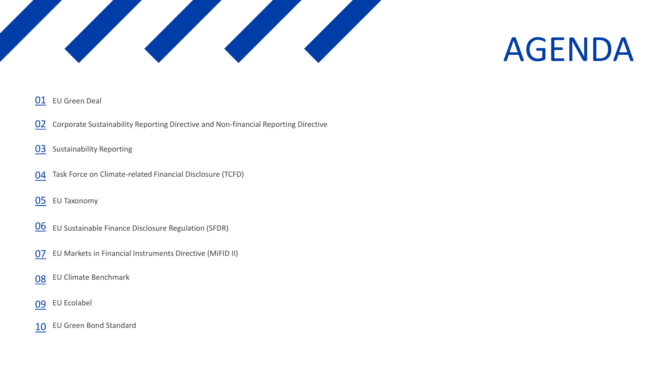

# AGENDA

#### EU Green Deal

- Corporate Sustainability Reporting Directive and Non-financial Reporting Directive
- Sustainability Reporting
- Task Force on Climate-related Financial Disclosure (TCFD)
- EU Taxonomy
- EU Sustainable Finance Disclosure Regulation (SFDR)
- EU Markets in Financial Instruments Directive (MiFID II)
- EU Climate Benchmark
- EU Ecolabel
- EU Green Bond Standard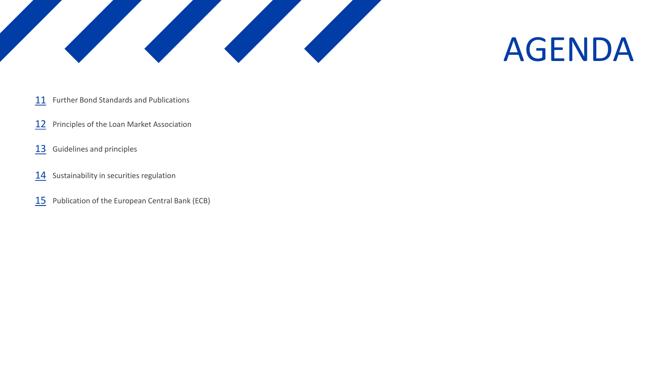

## AGENDA

- Further Bond Standards and Publications
- Principles of the Loan Market Association
- Guidelines and principles
- Sustainability in securities regulation
- Publication of the European Central Bank (ECB)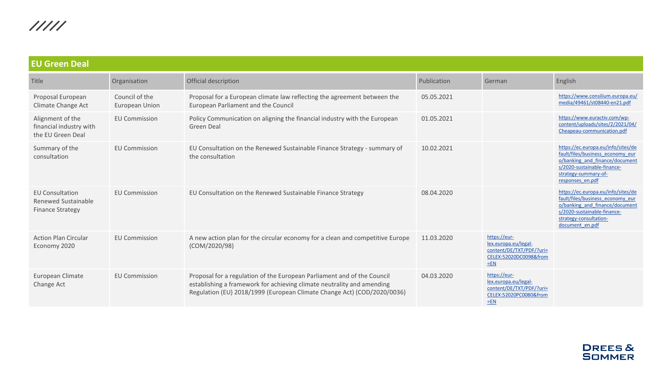<span id="page-3-0"></span>

| <b>EU Green Deal</b>                                                     |                                  |                                                                                                                                                                                                                              |             |                                                                                                     |                                                                                                                                                                                      |  |  |
|--------------------------------------------------------------------------|----------------------------------|------------------------------------------------------------------------------------------------------------------------------------------------------------------------------------------------------------------------------|-------------|-----------------------------------------------------------------------------------------------------|--------------------------------------------------------------------------------------------------------------------------------------------------------------------------------------|--|--|
| Title                                                                    | Organisation                     | Official description                                                                                                                                                                                                         | Publication | German                                                                                              | English                                                                                                                                                                              |  |  |
| Proposal European<br>Climate Change Act                                  | Council of the<br>European Union | Proposal for a European climate law reflecting the agreement between the<br>European Parliament and the Council                                                                                                              | 05.05.2021  |                                                                                                     | https://www.consilium.europa.eu/<br>media/49461/st08440-en21.pdf                                                                                                                     |  |  |
| Alignment of the<br>financial industry with<br>the EU Green Deal         | <b>EU Commission</b>             | Policy Communication on aligning the financial industry with the European<br>Green Deal                                                                                                                                      | 01.05.2021  |                                                                                                     | https://www.euractiv.com/wp-<br>content/uploads/sites/2/2021/04/<br>Cheapeau-communication.pdf                                                                                       |  |  |
| Summary of the<br>consultation                                           | <b>EU Commission</b>             | EU Consultation on the Renewed Sustainable Finance Strategy - summary of<br>the consultation                                                                                                                                 | 10.02.2021  |                                                                                                     | https://ec.europa.eu/info/sites/de<br>fault/files/business economy eur<br>o/banking and finance/document<br>s/2020-sustainable-finance-<br>strategy-summary-of-<br>responses en.pdf  |  |  |
| <b>EU Consultation</b><br>Renewed Sustainable<br><b>Finance Strategy</b> | <b>EU Commission</b>             | EU Consultation on the Renewed Sustainable Finance Strategy                                                                                                                                                                  | 08.04.2020  |                                                                                                     | https://ec.europa.eu/info/sites/de<br>fault/files/business economy eur<br>o/banking and finance/document<br>s/2020-sustainable-finance-<br>strategy-consultation-<br>document en.pdf |  |  |
| <b>Action Plan Circular</b><br>Economy 2020                              | <b>EU Commission</b>             | A new action plan for the circular economy for a clean and competitive Europe<br>(COM/2020/98)                                                                                                                               | 11.03.2020  | https://eur-<br>lex.europa.eu/legal-<br>content/DE/TXT/PDF/?uri=<br>CELEX:52020DC0098&from<br>$=EN$ |                                                                                                                                                                                      |  |  |
| European Climate<br>Change Act                                           | <b>EU Commission</b>             | Proposal for a regulation of the European Parliament and of the Council<br>establishing a framework for achieving climate neutrality and amending<br>Regulation (EU) 2018/1999 (European Climate Change Act) (COD/2020/0036) | 04.03.2020  | https://eur-<br>lex.europa.eu/legal-<br>content/DE/TXT/PDF/?uri=<br>CELEX:52020PC0080&from<br>$=EN$ |                                                                                                                                                                                      |  |  |

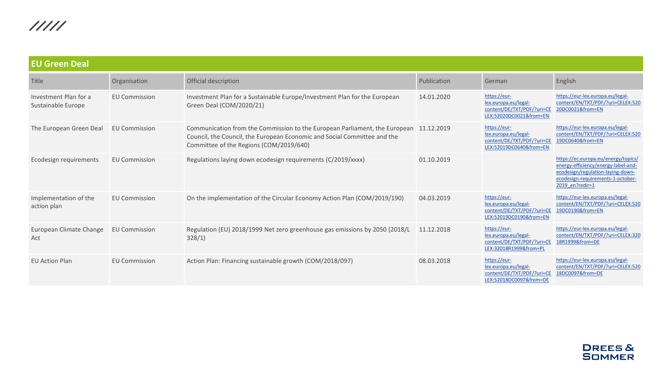| <b>EU Green Deal</b>                        |                      |                                                                                                                                                                                                   |             |                                                                                               |                                                                                                                                                                         |  |  |  |
|---------------------------------------------|----------------------|---------------------------------------------------------------------------------------------------------------------------------------------------------------------------------------------------|-------------|-----------------------------------------------------------------------------------------------|-------------------------------------------------------------------------------------------------------------------------------------------------------------------------|--|--|--|
| Title                                       | Organisation         | Official description                                                                                                                                                                              | Publication | German                                                                                        | English                                                                                                                                                                 |  |  |  |
| Investment Plan for a<br>Sustainable Europe | <b>EU Commission</b> | Investment Plan for a Sustainable Europe/Investment Plan for the European<br>Green Deal (COM/2020/21)                                                                                             | 14.01.2020  | https://eur-<br>lex.europa.eu/legal-<br>content/DE/TXT/PDF/?uri=CE<br>LEX:52020DC0021&from=EN | https://eur-lex.europa.eu/legal-<br>content/EN/TXT/PDF/?uri=CELEX:520<br>20DC0021&from=EN                                                                               |  |  |  |
| The European Green Deal                     | <b>EU Commission</b> | Communication from the Commission to the European Parliament, the European<br>Council, the Council, the European Economic and Social Committee and the<br>Committee of the Regions (COM/2019/640) | 11.12.2019  | https://eur-<br>lex.europa.eu/legal-<br>content/DE/TXT/PDF/?uri=CE<br>LEX:52019DC0640&from=EN | https://eur-lex.europa.eu/legal-<br>content/EN/TXT/PDF/?uri=CELEX:520<br>19DC0640&from=EN                                                                               |  |  |  |
| Ecodesign requirements                      | <b>EU Commission</b> | Regulations laying down ecodesign requirements (C/2019/xxxx)                                                                                                                                      | 01.10.2019  |                                                                                               | https://ec.europa.eu/energy/topics/<br>energy-efficiency/energy-label-and-<br>ecodesign/regulation-laying-down-<br>ecodesign-requirements-1-october-<br>2019 en?redir=1 |  |  |  |
| Implementation of the<br>action plan        | <b>EU Commission</b> | On the implementation of the Circular Economy Action Plan (COM/2019/190)                                                                                                                          | 04.03.2019  | https://eur-<br>lex.europa.eu/legal-<br>content/DE/TXT/PDF/?uri=CE<br>LEX:52019DC0190&from=EN | https://eur-lex.europa.eu/legal-<br>content/EN/TXT/PDF/?uri=CELEX:520<br>19DC0190&from=EN                                                                               |  |  |  |
| European Climate Change<br>Act              | <b>EU Commission</b> | Regulation (EU) 2018/1999 Net zero greenhouse gas emissions by 2050 (2018/L<br>328/1)                                                                                                             | 11.12.2018  | https://eur-<br>lex.europa.eu/legal-<br>content/DE/TXT/PDF/?uri=CE<br>LEX:32018R1999&from=PL  | https://eur-lex.europa.eu/legal-<br>content/EN/TXT/PDF/?uri=CELEX:320<br>18R1999&from=DE                                                                                |  |  |  |
| <b>EU Action Plan</b>                       | <b>EU Commission</b> | Action Plan: Financing sustainable growth (COM/2018/097)                                                                                                                                          | 08.03.2018  | https://eur-<br>lex.europa.eu/legal-<br>content/DE/TXT/PDF/?uri=CE<br>LEX:52018DC0097&from=DE | https://eur-lex.europa.eu/legal-<br>content/EN/TXT/PDF/?uri=CELEX:520<br>18DC0097&from=DE                                                                               |  |  |  |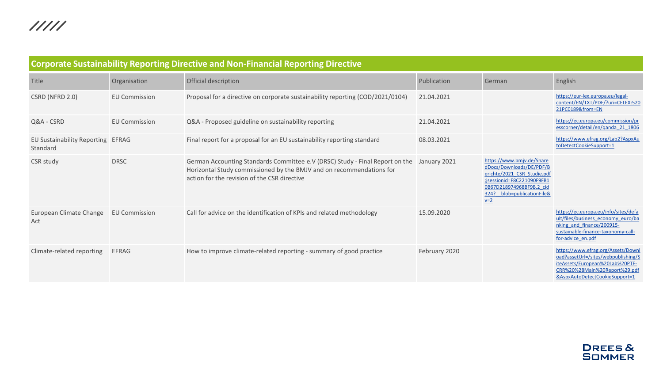<span id="page-5-0"></span>

| <b>Corporate Sustainability Reporting Directive and Non-Financial Reporting Directive</b> |                      |                                                                                                                                                                                                      |               |                                                                                                                                                                                                   |                                                                                                                                                                                 |  |  |  |
|-------------------------------------------------------------------------------------------|----------------------|------------------------------------------------------------------------------------------------------------------------------------------------------------------------------------------------------|---------------|---------------------------------------------------------------------------------------------------------------------------------------------------------------------------------------------------|---------------------------------------------------------------------------------------------------------------------------------------------------------------------------------|--|--|--|
| Title                                                                                     | Organisation         | Official description                                                                                                                                                                                 | Publication   | German                                                                                                                                                                                            | English                                                                                                                                                                         |  |  |  |
| CSRD (NFRD 2.0)                                                                           | <b>EU Commission</b> | Proposal for a directive on corporate sustainability reporting (COD/2021/0104)                                                                                                                       | 21.04.2021    |                                                                                                                                                                                                   | https://eur-lex.europa.eu/legal-<br>content/EN/TXT/PDF/?uri=CELEX:520<br>21PC0189&from=EN                                                                                       |  |  |  |
| Q&A - CSRD                                                                                | <b>EU Commission</b> | Q&A - Proposed guideline on sustainability reporting                                                                                                                                                 | 21.04.2021    |                                                                                                                                                                                                   | https://ec.europa.eu/commission/pr<br>esscorner/detail/en/ganda 21 1806                                                                                                         |  |  |  |
| EU Sustainability Reporting EFRAG<br>Standard                                             |                      | Final report for a proposal for an EU sustainability reporting standard                                                                                                                              | 08.03.2021    |                                                                                                                                                                                                   | https://www.efrag.org/Lab2?AspxAu<br>toDetectCookieSupport=1                                                                                                                    |  |  |  |
| CSR study                                                                                 | <b>DRSC</b>          | German Accounting Standards Committee e.V (DRSC) Study - Final Report on the<br>Horizontal Study commissioned by the BMJV and on recommendations for<br>action for the revision of the CSR directive | January 2021  | https://www.bmjv.de/Share<br>dDocs/Downloads/DE/PDF/B<br>erichte/2021_CSR_Studie.pdf<br>;jsessionid=F8C221090F9FB1<br>0B67D218974968BF9B.2 cid<br>324? blob=publicationFile&<br>$\underline{v=2}$ |                                                                                                                                                                                 |  |  |  |
| European Climate Change<br>Act                                                            | <b>EU Commission</b> | Call for advice on the identification of KPIs and related methodology                                                                                                                                | 15.09.2020    |                                                                                                                                                                                                   | https://ec.europa.eu/info/sites/defa<br>ult/files/business economy euro/ba<br>nking and finance/200915-<br>sustainable-finance-taxonomy-call-<br>for-advice en.pdf              |  |  |  |
| Climate-related reporting                                                                 | <b>EFRAG</b>         | How to improve climate-related reporting - summary of good practice                                                                                                                                  | February 2020 |                                                                                                                                                                                                   | https://www.efrag.org/Assets/Downl<br>oad?assetUrl=/sites/webpublishing/S<br>iteAssets/European%20Lab%20PTF-<br>CRR%20%28Main%20Report%29.pdf<br>&AspxAutoDetectCookieSupport=1 |  |  |  |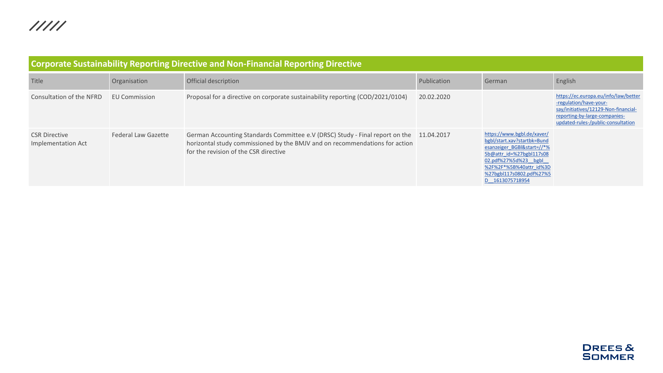| <b>Corporate Sustainability Reporting Directive and Non-Financial Reporting Directive</b> |                      |                                                                                                                                                                                                                 |             |                                                                                                                                                                                                                       |                                                                                                                                                                               |  |  |  |  |
|-------------------------------------------------------------------------------------------|----------------------|-----------------------------------------------------------------------------------------------------------------------------------------------------------------------------------------------------------------|-------------|-----------------------------------------------------------------------------------------------------------------------------------------------------------------------------------------------------------------------|-------------------------------------------------------------------------------------------------------------------------------------------------------------------------------|--|--|--|--|
| Title                                                                                     | Organisation         | Official description                                                                                                                                                                                            | Publication | German                                                                                                                                                                                                                | English                                                                                                                                                                       |  |  |  |  |
| Consultation of the NFRD                                                                  | <b>EU Commission</b> | Proposal for a directive on corporate sustainability reporting (COD/2021/0104)                                                                                                                                  | 20.02.2020  |                                                                                                                                                                                                                       | https://ec.europa.eu/info/law/better<br>-regulation/have-your-<br>say/initiatives/12129-Non-financial-<br>reporting-by-large-companies-<br>updated-rules-/public-consultation |  |  |  |  |
| <b>CSR Directive</b><br>Implementation Act                                                | Federal Law Gazette  | German Accounting Standards Committee e.V (DRSC) Study - Final report on the 11.04.2017<br>horizontal study commissioned by the BMJV and on recommendations for action<br>for the revision of the CSR directive |             | https://www.bgbl.de/xaver/<br>bgbl/start.xav?startbk=Bund<br>esanzeiger BGBl&start=//*%<br>5b@attr id=%27bgbl117s08<br>02.pdf%27%5d%23 bgbl<br>%2F%2F*%5B%40attr id%3D<br>%27bgbl117s0802.pdf%27%5<br>D 1613075718954 |                                                                                                                                                                               |  |  |  |  |

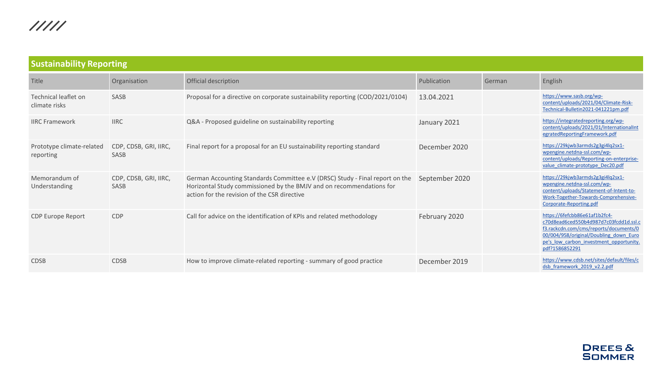<span id="page-7-0"></span>

| <b>Sustainability Reporting</b>        |                               |                                                                                                                                                                                                      |                |        |                                                                                                                                                                                                                          |  |  |  |  |
|----------------------------------------|-------------------------------|------------------------------------------------------------------------------------------------------------------------------------------------------------------------------------------------------|----------------|--------|--------------------------------------------------------------------------------------------------------------------------------------------------------------------------------------------------------------------------|--|--|--|--|
| Title                                  | Organisation                  | Official description                                                                                                                                                                                 | Publication    | German | English                                                                                                                                                                                                                  |  |  |  |  |
| Technical leaflet on<br>climate risks  | SASB                          | Proposal for a directive on corporate sustainability reporting (COD/2021/0104)                                                                                                                       | 13.04.2021     |        | https://www.sasb.org/wp-<br>content/uploads/2021/04/Climate-Risk-<br>Technical-Bulletin2021-041221pm.pdf                                                                                                                 |  |  |  |  |
| <b>IIRC Framework</b>                  | <b>IIRC</b>                   | Q&A - Proposed guideline on sustainability reporting                                                                                                                                                 | January 2021   |        | https://integratedreporting.org/wp-<br>content/uploads/2021/01/InternationalInt<br>egratedReportingFramework.pdf                                                                                                         |  |  |  |  |
| Prototype climate-related<br>reporting | CDP, CDSB, GRI, IIRC,<br>SASB | Final report for a proposal for an EU sustainability reporting standard                                                                                                                              | December 2020  |        | https://29kjwb3armds2g3gi4lq2sx1-<br>wpengine.netdna-ssl.com/wp-<br>content/uploads/Reporting-on-enterprise-<br>value climate-prototype Dec20.pdf                                                                        |  |  |  |  |
| Memorandum of<br>Understanding         | CDP, CDSB, GRI, IIRC,<br>SASB | German Accounting Standards Committee e.V (DRSC) Study - Final report on the<br>Horizontal Study commissioned by the BMJV and on recommendations for<br>action for the revision of the CSR directive | September 2020 |        | https://29kjwb3armds2g3gi4lq2sx1-<br>wpengine.netdna-ssl.com/wp-<br>content/uploads/Statement-of-Intent-to-<br>Work-Together-Towards-Comprehensive-<br>Corporate-Reporting.pdf                                           |  |  |  |  |
| <b>CDP Europe Report</b>               | <b>CDP</b>                    | Call for advice on the identification of KPIs and related methodology                                                                                                                                | February 2020  |        | https://6fefcbb86e61af1b2fc4-<br>c70d8ead6ced550b4d987d7c03fcdd1d.ssl.c<br>f3.rackcdn.com/cms/reports/documents/0<br>00/004/958/original/Doubling down Euro<br>pe's low carbon investment opportunity.<br>pdf?1586852291 |  |  |  |  |
| <b>CDSB</b>                            | <b>CDSB</b>                   | How to improve climate-related reporting - summary of good practice                                                                                                                                  | December 2019  |        | https://www.cdsb.net/sites/default/files/c<br>dsb framework 2019 v2.2.pdf                                                                                                                                                |  |  |  |  |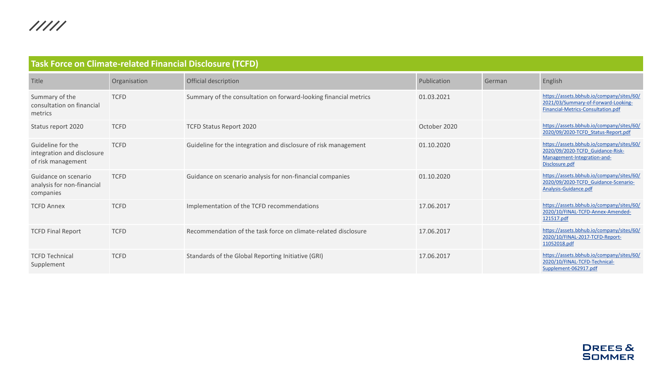<span id="page-8-0"></span>

| <b>Task Force on Climate-related Financial Disclosure (TCFD)</b>      |              |                                                                  |              |        |                                                                                                                                |  |  |  |
|-----------------------------------------------------------------------|--------------|------------------------------------------------------------------|--------------|--------|--------------------------------------------------------------------------------------------------------------------------------|--|--|--|
| Title                                                                 | Organisation | Official description                                             | Publication  | German | English                                                                                                                        |  |  |  |
| Summary of the<br>consultation on financial<br>metrics                | <b>TCFD</b>  | Summary of the consultation on forward-looking financial metrics | 01.03.2021   |        | https://assets.bbhub.io/company/sites/60/<br>2021/03/Summary-of-Forward-Looking-<br>Financial-Metrics-Consultation.pdf         |  |  |  |
| Status report 2020                                                    | <b>TCFD</b>  | TCFD Status Report 2020                                          | October 2020 |        | https://assets.bbhub.io/company/sites/60/<br>2020/09/2020-TCFD Status-Report.pdf                                               |  |  |  |
| Guideline for the<br>integration and disclosure<br>of risk management | <b>TCFD</b>  | Guideline for the integration and disclosure of risk management  | 01.10.2020   |        | https://assets.bbhub.io/company/sites/60/<br>2020/09/2020-TCFD Guidance-Risk-<br>Management-Integration-and-<br>Disclosure.pdf |  |  |  |
| Guidance on scenario<br>analysis for non-financial<br>companies       | <b>TCFD</b>  | Guidance on scenario analysis for non-financial companies        | 01.10.2020   |        | https://assets.bbhub.io/company/sites/60/<br>2020/09/2020-TCFD Guidance-Scenario-<br>Analysis-Guidance.pdf                     |  |  |  |
| <b>TCFD Annex</b>                                                     | <b>TCFD</b>  | Implementation of the TCFD recommendations                       | 17.06.2017   |        | https://assets.bbhub.io/company/sites/60/<br>2020/10/FINAL-TCFD-Annex-Amended-<br>121517.pdf                                   |  |  |  |
| <b>TCFD Final Report</b>                                              | <b>TCFD</b>  | Recommendation of the task force on climate-related disclosure   | 17.06.2017   |        | https://assets.bbhub.io/company/sites/60/<br>2020/10/FINAL-2017-TCFD-Report-<br>11052018.pdf                                   |  |  |  |
| <b>TCFD Technical</b><br>Supplement                                   | <b>TCFD</b>  | Standards of the Global Reporting Initiative (GRI)               | 17.06.2017   |        | https://assets.bbhub.io/company/sites/60/<br>2020/10/FINAL-TCFD-Technical-<br>Supplement-062917.pdf                            |  |  |  |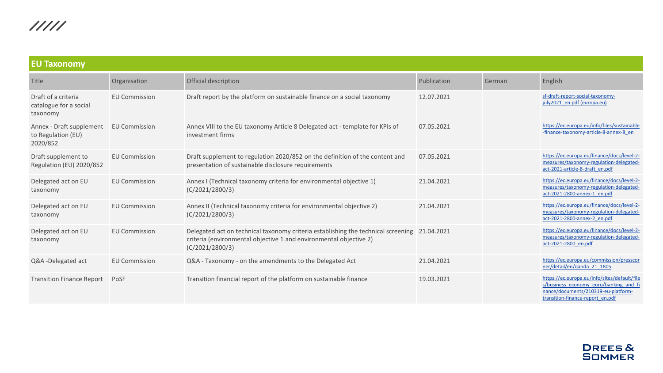<span id="page-9-0"></span>

| <b>EU Taxonomy</b>                                         |                      |                                                                                                                                                                                       |             |        |                                                                                                                                                                   |  |  |  |
|------------------------------------------------------------|----------------------|---------------------------------------------------------------------------------------------------------------------------------------------------------------------------------------|-------------|--------|-------------------------------------------------------------------------------------------------------------------------------------------------------------------|--|--|--|
| Title                                                      | Organisation         | Official description                                                                                                                                                                  | Publication | German | English                                                                                                                                                           |  |  |  |
| Draft of a criteria<br>catalogue for a social<br>taxonomy  | <b>EU Commission</b> | Draft report by the platform on sustainable finance on a social taxonomy                                                                                                              | 12.07.2021  |        | sf-draft-report-social-taxonomy-<br>july2021_en.pdf (europa.eu)                                                                                                   |  |  |  |
| Annex - Draft supplement<br>to Regulation (EU)<br>2020/852 | <b>EU Commission</b> | Annex VIII to the EU taxonomy Article 8 Delegated act - template for KPIs of<br>investment firms                                                                                      | 07.05.2021  |        | https://ec.europa.eu/info/files/sustainable<br>-finance-taxonomy-article-8-annex-8 en                                                                             |  |  |  |
| Draft supplement to<br>Regulation (EU) 2020/852            | <b>EU Commission</b> | Draft supplement to regulation 2020/852 on the definition of the content and<br>presentation of sustainable disclosure requirements                                                   | 07.05.2021  |        | https://ec.europa.eu/finance/docs/level-2-<br>measures/taxonomy-regulation-delegated-<br>act-2021-article-8-draft en.pdf                                          |  |  |  |
| Delegated act on EU<br>taxonomy                            | <b>EU Commission</b> | Annex I (Technical taxonomy criteria for environmental objective 1)<br>(C/2021/2800/3)                                                                                                | 21.04.2021  |        | https://ec.europa.eu/finance/docs/level-2-<br>measures/taxonomy-regulation-delegated-<br>act-2021-2800-annex-1 en.pdf                                             |  |  |  |
| Delegated act on EU<br>taxonomy                            | <b>EU Commission</b> | Annex II (Technical taxonomy criteria for environmental objective 2)<br>(C/2021/2800/3)                                                                                               | 21.04.2021  |        | https://ec.europa.eu/finance/docs/level-2-<br>measures/taxonomy-regulation-delegated-<br>act-2021-2800-annex-2 en.pdf                                             |  |  |  |
| Delegated act on EU<br>taxonomy                            | <b>EU Commission</b> | Delegated act on technical taxonomy criteria establishing the technical screening 21.04.2021<br>criteria (environmental objective 1 and environmental objective 2)<br>(C/2021/2800/3) |             |        | https://ec.europa.eu/finance/docs/level-2-<br>measures/taxonomy-regulation-delegated-<br>act-2021-2800 en.pdf                                                     |  |  |  |
| Q&A -Delegated act                                         | <b>EU Commission</b> | Q&A - Taxonomy - on the amendments to the Delegated Act                                                                                                                               | 21.04.2021  |        | https://ec.europa.eu/commission/presscor<br>ner/detail/en/ganda 21 1805                                                                                           |  |  |  |
| <b>Transition Finance Report</b>                           | PoSF                 | Transition financial report of the platform on sustainable finance                                                                                                                    | 19.03.2021  |        | https://ec.europa.eu/info/sites/default/file<br>s/business economy euro/banking and fi<br>nance/documents/210319-eu-platform-<br>transition-finance-report en.pdf |  |  |  |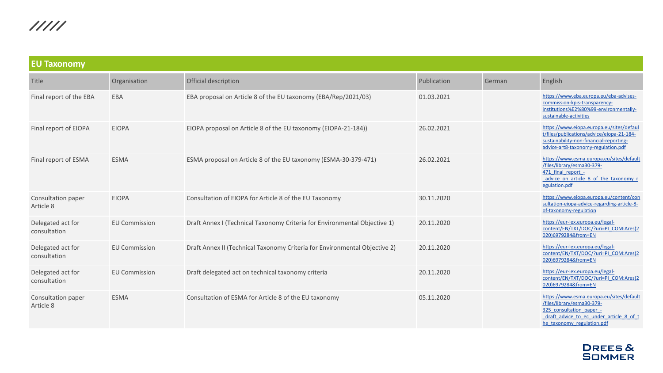| <b>EU Taxonomy</b>                |                      |                                                                            |             |        |                                                                                                                                                                             |  |  |
|-----------------------------------|----------------------|----------------------------------------------------------------------------|-------------|--------|-----------------------------------------------------------------------------------------------------------------------------------------------------------------------------|--|--|
| Title                             | Organisation         | Official description                                                       | Publication | German | English                                                                                                                                                                     |  |  |
| Final report of the EBA           | EBA                  | EBA proposal on Article 8 of the EU taxonomy (EBA/Rep/2021/03)             | 01.03.2021  |        | https://www.eba.europa.eu/eba-advises-<br>commission-kpis-transparency-<br>institutions%E2%80%99-environmentally-<br>sustainable-activities                                 |  |  |
| Final report of EIOPA             | <b>EIOPA</b>         | EIOPA proposal on Article 8 of the EU taxonomy (EIOPA-21-184))             | 26.02.2021  |        | https://www.eiopa.europa.eu/sites/defaul<br>t/files/publications/advice/eiopa-21-184-<br>sustainability-non-financial-reporting-<br>advice-art8-taxonomy-regulation.pdf     |  |  |
| Final report of ESMA              | <b>ESMA</b>          | ESMA proposal on Article 8 of the EU taxonomy (ESMA-30-379-471)            | 26.02.2021  |        | https://www.esma.europa.eu/sites/default<br>/files/library/esma30-379-<br>471 final report -<br>advice on article 8 of the taxonomy r<br>egulation.pdf                      |  |  |
| Consultation paper<br>Article 8   | <b>EIOPA</b>         | Consultation of EIOPA for Article 8 of the EU Taxonomy                     | 30.11.2020  |        | https://www.eiopa.europa.eu/content/con<br>sultation-eiopa-advice-regarding-article-8-<br>of-taxonomy-regulation                                                            |  |  |
| Delegated act for<br>consultation | <b>EU Commission</b> | Draft Annex I (Technical Taxonomy Criteria for Environmental Objective 1)  | 20.11.2020  |        | https://eur-lex.europa.eu/legal-<br>content/EN/TXT/DOC/?uri=PI COM:Ares(2<br>020)6979284&from=EN                                                                            |  |  |
| Delegated act for<br>consultation | <b>EU Commission</b> | Draft Annex II (Technical Taxonomy Criteria for Environmental Objective 2) | 20.11.2020  |        | https://eur-lex.europa.eu/legal-<br>content/EN/TXT/DOC/?uri=PI_COM:Ares(2<br>020)6979284&from=EN                                                                            |  |  |
| Delegated act for<br>consultation | <b>EU Commission</b> | Draft delegated act on technical taxonomy criteria                         | 20.11.2020  |        | https://eur-lex.europa.eu/legal-<br>content/EN/TXT/DOC/?uri=PI_COM:Ares(2<br>020)6979284&from=EN                                                                            |  |  |
| Consultation paper<br>Article 8   | <b>ESMA</b>          | Consultation of ESMA for Article 8 of the EU taxonomy                      | 05.11.2020  |        | https://www.esma.europa.eu/sites/default<br>/files/library/esma30-379-<br>325 consultation paper -<br>draft advice to ec under article 8 of t<br>he taxonomy regulation.pdf |  |  |

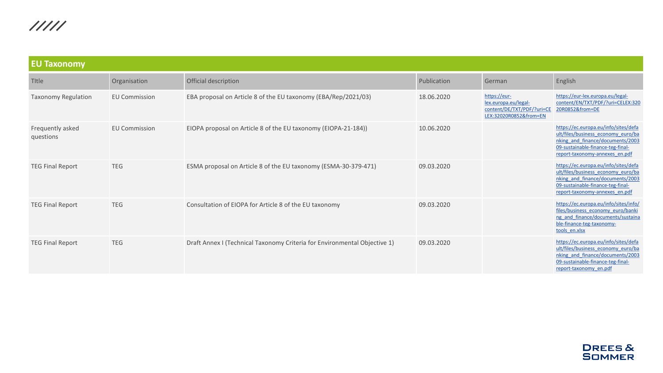| <b>EU Taxonomy</b>            |                      |                                                                           |             |                                                                                              |                                                                                                                                                                                       |  |  |
|-------------------------------|----------------------|---------------------------------------------------------------------------|-------------|----------------------------------------------------------------------------------------------|---------------------------------------------------------------------------------------------------------------------------------------------------------------------------------------|--|--|
| Title                         | Organisation         | Official description                                                      | Publication | German                                                                                       | English                                                                                                                                                                               |  |  |
| <b>Taxonomy Regulation</b>    | <b>EU Commission</b> | EBA proposal on Article 8 of the EU taxonomy (EBA/Rep/2021/03)            | 18.06.2020  | https://eur-<br>lex.europa.eu/legal-<br>content/DE/TXT/PDF/?uri=CE<br>LEX:32020R0852&from=EN | https://eur-lex.europa.eu/legal-<br>content/EN/TXT/PDF/?uri=CELEX:320<br>20R0852&from=DE                                                                                              |  |  |
| Frequently asked<br>questions | <b>EU Commission</b> | EIOPA proposal on Article 8 of the EU taxonomy (EIOPA-21-184))            | 10.06.2020  |                                                                                              | https://ec.europa.eu/info/sites/defa<br>ult/files/business economy euro/ba<br>nking and finance/documents/2003<br>09-sustainable-finance-teg-final-<br>report-taxonomy-annexes en.pdf |  |  |
| <b>TEG Final Report</b>       | <b>TEG</b>           | ESMA proposal on Article 8 of the EU taxonomy (ESMA-30-379-471)           | 09.03.2020  |                                                                                              | https://ec.europa.eu/info/sites/defa<br>ult/files/business economy euro/ba<br>nking and finance/documents/2003<br>09-sustainable-finance-teg-final-<br>report-taxonomy-annexes en.pdf |  |  |
| <b>TEG Final Report</b>       | <b>TEG</b>           | Consultation of EIOPA for Article 8 of the EU taxonomy                    | 09.03.2020  |                                                                                              | https://ec.europa.eu/info/sites/info/<br>files/business economy euro/banki<br>ng and finance/documents/sustaina<br>ble-finance-teg-taxonomy-<br>tools en.xlsx                         |  |  |
| <b>TEG Final Report</b>       | <b>TEG</b>           | Draft Annex I (Technical Taxonomy Criteria for Environmental Objective 1) | 09.03.2020  |                                                                                              | https://ec.europa.eu/info/sites/defa<br>ult/files/business economy euro/ba<br>nking and finance/documents/2003<br>09-sustainable-finance-teg-final-<br>report-taxonomy en.pdf         |  |  |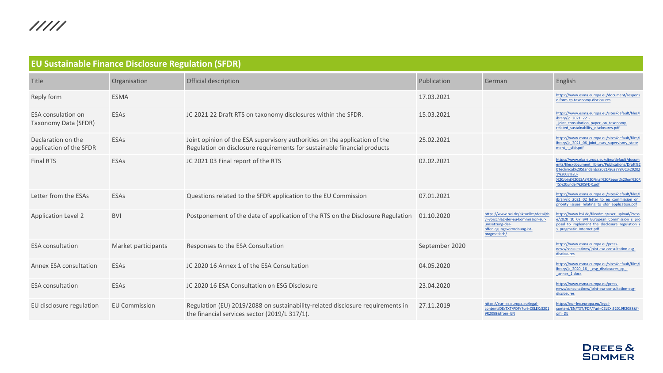<span id="page-12-0"></span>

| <b>EU Sustainable Finance Disclosure Regulation (SFDR)</b> |                      |                                                                                                                                                        |                |                                                                                                                                              |                                                                                                                                                                                                                                      |  |  |  |
|------------------------------------------------------------|----------------------|--------------------------------------------------------------------------------------------------------------------------------------------------------|----------------|----------------------------------------------------------------------------------------------------------------------------------------------|--------------------------------------------------------------------------------------------------------------------------------------------------------------------------------------------------------------------------------------|--|--|--|
| Title                                                      | Organisation         | Official description                                                                                                                                   | Publication    | German                                                                                                                                       | English                                                                                                                                                                                                                              |  |  |  |
| Reply form                                                 | <b>ESMA</b>          |                                                                                                                                                        | 17.03.2021     |                                                                                                                                              | https://www.esma.europa.eu/document/respons<br>e-form-cp-taxonomy-disclosures                                                                                                                                                        |  |  |  |
| <b>ESA</b> consulation on<br>Taxonomy Data (SFDR)          | ESAs                 | JC 2021 22 Draft RTS on taxonomy disclosures within the SFDR.                                                                                          | 15.03.2021     |                                                                                                                                              | https://www.esma.europa.eu/sites/default/files/l<br>ibrary/jc 2021 22 -<br>joint consultation paper on taxonomy-<br>related sustainability disclosures.pdf                                                                           |  |  |  |
| Declaration on the<br>application of the SFDR              | ESAs                 | Joint opinion of the ESA supervisory authorities on the application of the<br>Regulation on disclosure requirements for sustainable financial products | 25.02.2021     |                                                                                                                                              | https://www.esma.europa.eu/sites/default/files/l<br>ibrary/jc 2021 06 joint esas supervisory state<br>ment - sfdr.pdf                                                                                                                |  |  |  |
| <b>Final RTS</b>                                           | ESAs                 | JC 2021 03 Final report of the RTS                                                                                                                     | 02.02.2021     |                                                                                                                                              | https://www.eba.europa.eu/sites/default/docum<br>ents/files/document_library/Publications/Draft%2<br>0Technical%20Standards/2021/962778/JC%20202<br>1%2003%20-<br>%20Joint%20ESAs%20Final%20Report%20on%20R<br>TS%20under%20SFDR.pdf |  |  |  |
| Letter from the ESAs                                       | ESAs                 | Questions related to the SFDR application to the EU Commission                                                                                         | 07.01.2021     |                                                                                                                                              | https://www.esma.europa.eu/sites/default/files/l<br>ibrary/jc 2021 02 letter to eu commission on<br>priority issues relating to sfdr application.pdf                                                                                 |  |  |  |
| <b>Application Level 2</b>                                 | <b>BVI</b>           | Postponement of the date of application of the RTS on the Disclosure Regulation 01.10.2020                                                             |                | https://www.bvi.de/aktuelles/detail/<br>vi-vorschlag-der-eu-kommission-zur-<br>umsetzung-der-<br>offenlegungsverordnung-ist-<br>pragmatisch/ | https://www.bvi.de/fileadmin/user_upload/Press<br>e/2020 10 07 BVI European Commission s pro<br>posal to implement the disclosure regulation i<br>s pragmatic Internet.pdf                                                           |  |  |  |
| <b>ESA</b> consultation                                    | Market participants  | Responses to the ESA Consultation                                                                                                                      | September 2020 |                                                                                                                                              | https://www.esma.europa.eu/press-<br>news/consultations/joint-esa-consultation-esg-<br>disclosures                                                                                                                                   |  |  |  |
| Annex ESA consultation                                     | ESAs                 | JC 2020 16 Annex 1 of the ESA Consultation                                                                                                             | 04.05.2020     |                                                                                                                                              | https://www.esma.europa.eu/sites/default/files/l<br>ibrary/jc 2020 16 - esg disclosures cp -<br>annex 1.docx                                                                                                                         |  |  |  |
| <b>ESA</b> consultation                                    | ESAs                 | JC 2020 16 ESA Consultation on ESG Disclosure                                                                                                          | 23.04.2020     |                                                                                                                                              | https://www.esma.europa.eu/press-<br>news/consultations/joint-esa-consultation-esg-<br>disclosures                                                                                                                                   |  |  |  |
| EU disclosure regulation                                   | <b>EU Commission</b> | Regulation (EU) 2019/2088 on sustainability-related disclosure requirements in<br>the financial services sector (2019/L 317/1).                        | 27.11.2019     | https://eur-lex.europa.eu/legal-<br>content/DE/TXT/PDF/?uri=CELEX:3201<br>9R2088&from=EN                                                     | https://eur-lex.europa.eu/legal-<br>content/EN/TXT/PDF/?uri=CELEX:32019R2088&fr<br>$om = DE$                                                                                                                                         |  |  |  |

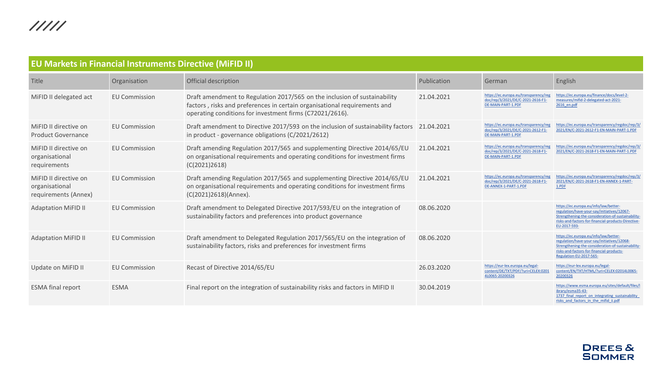<span id="page-13-0"></span>

| <b>EU Markets in Financial Instruments Directive (MIFID II)</b> |                      |                                                                                                                                                                                                                    |             |                                                                                                     |                                                                                                                                                                                                                    |  |  |  |
|-----------------------------------------------------------------|----------------------|--------------------------------------------------------------------------------------------------------------------------------------------------------------------------------------------------------------------|-------------|-----------------------------------------------------------------------------------------------------|--------------------------------------------------------------------------------------------------------------------------------------------------------------------------------------------------------------------|--|--|--|
| Title                                                           | Organisation         | Official description                                                                                                                                                                                               | Publication | German                                                                                              | English                                                                                                                                                                                                            |  |  |  |
| MiFID II delegated act                                          | <b>EU Commission</b> | Draft amendment to Regulation 2017/565 on the inclusion of sustainability<br>factors, risks and preferences in certain organisational requirements and<br>operating conditions for investment firms (C72021/2616). | 21.04.2021  | https://ec.europa.eu/transparency/reg<br>doc/rep/3/2021/DE/C-2021-2616-F1-<br>DE-MAIN-PART-1.PDF    | https://ec.europa.eu/finance/docs/level-2-<br>measures/mifid-2-delegated-act-2021-<br>2616 en.pdf                                                                                                                  |  |  |  |
| MiFID II directive on<br><b>Product Governance</b>              | <b>EU Commission</b> | Draft amendment to Directive 2017/593 on the inclusion of sustainability factors 21.04.2021<br>in product - governance obligations (C/2021/2612)                                                                   |             | https://ec.europa.eu/transparency/reg<br>doc/rep/3/2021/DE/C-2021-2612-F1-<br>DE-MAIN-PART-1.PDF    | https://ec.europa.eu/transparency/regdoc/rep/3/<br>2021/EN/C-2021-2612-F1-EN-MAIN-PART-1.PDF                                                                                                                       |  |  |  |
| MiFID II directive on<br>organisational<br>requirements         | <b>EU Commission</b> | Draft amending Regulation 2017/565 and supplementing Directive 2014/65/EU<br>on organisational requirements and operating conditions for investment firms<br>(C(2021)2618)                                         | 21.04.2021  | https://ec.europa.eu/transparency/reg<br>doc/rep/3/2021/DE/C-2021-2618-F1-<br>DE-MAIN-PART-1.PDF    | https://ec.europa.eu/transparency/regdoc/rep/3/<br>2021/EN/C-2021-2618-F1-EN-MAIN-PART-1.PDF                                                                                                                       |  |  |  |
| MiFID II directive on<br>organisational<br>requirements (Annex) | <b>EU Commission</b> | Draft amending Regulation 2017/565 and supplementing Directive 2014/65/EU<br>on organisational requirements and operating conditions for investment firms<br>(C(2021)2618)(Annex).                                 | 21.04.2021  | https://ec.europa.eu/transparency/reg<br>doc/rep/3/2021/DE/C-2021-2618-F1-<br>DE-ANNEX-1-PART-1.PDF | https://ec.europa.eu/transparency/regdoc/rep/3/<br>2021/EN/C-2021-2618-F1-EN-ANNEX-1-PART-<br>1.PDF                                                                                                                |  |  |  |
| <b>Adaptation MiFID II</b>                                      | <b>EU Commission</b> | Draft amendment to Delegated Directive 2017/593/EU on the integration of<br>sustainability factors and preferences into product governance                                                                         | 08.06.2020  |                                                                                                     | https://ec.europa.eu/info/law/better-<br>regulation/have-your-say/initiatives/12067-<br>Strengthening-the-consideration-of-sustainability-<br>risks-and-factors-for-financial-products-Directive-<br>EU-2017-593-  |  |  |  |
| <b>Adaptation MiFID II</b>                                      | <b>EU Commission</b> | Draft amendment to Delegated Regulation 2017/565/EU on the integration of<br>sustainability factors, risks and preferences for investment firms                                                                    | 08.06.2020  |                                                                                                     | https://ec.europa.eu/info/law/better-<br>regulation/have-your-say/initiatives/12068-<br>Strengthening-the-consideration-of-sustainability-<br>risks-and-factors-for-financial-products-<br>Regulation-EU-2017-565- |  |  |  |
| Update on MiFID II                                              | <b>EU Commission</b> | Recast of Directive 2014/65/EU                                                                                                                                                                                     | 26.03.2020  | https://eur-lex.europa.eu/legal-<br>content/DE/TXT/PDF/?uri=CELEX:0201<br>4L0065-20200326           | https://eur-lex.europa.eu/legal-<br>content/EN/TXT/HTML/?uri=CELEX:02014L0065-<br>20200326                                                                                                                         |  |  |  |
| <b>ESMA final report</b>                                        | <b>ESMA</b>          | Final report on the integration of sustainability risks and factors in MIFID II                                                                                                                                    | 30.04.2019  |                                                                                                     | https://www.esma.europa.eu/sites/default/files/l<br>ibrary/esma35-43-<br>1737 final report on integrating sustainability<br>risks and factors in the mifid ii.pdf                                                  |  |  |  |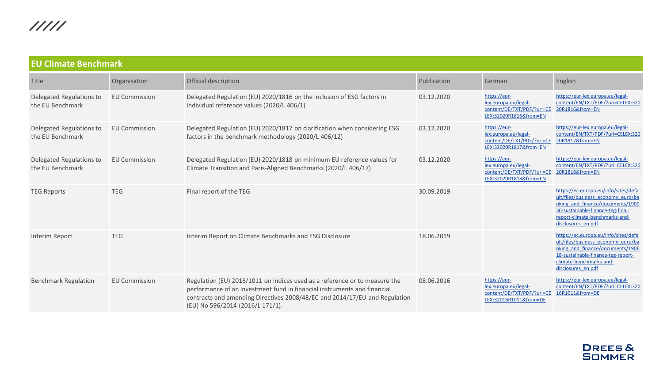<span id="page-14-0"></span>

| <b>EU Climate Benchmark</b>                  |                      |                                                                                                                                                                                                                                                                          |             |                                                                                              |                                                                                                                                                                                                             |  |  |  |
|----------------------------------------------|----------------------|--------------------------------------------------------------------------------------------------------------------------------------------------------------------------------------------------------------------------------------------------------------------------|-------------|----------------------------------------------------------------------------------------------|-------------------------------------------------------------------------------------------------------------------------------------------------------------------------------------------------------------|--|--|--|
| Title                                        | Organisation         | Official description                                                                                                                                                                                                                                                     | Publication | German                                                                                       | English                                                                                                                                                                                                     |  |  |  |
| Delegated Regulations to<br>the EU Benchmark | <b>EU Commission</b> | Delegated Regulation (EU) 2020/1816 on the inclusion of ESG factors in<br>individual reference values (2020/L 406/1)                                                                                                                                                     | 03.12.2020  | https://eur-<br>lex.europa.eu/legal-<br>content/DE/TXT/PDF/?uri=CE<br>LEX:32020R1816&from=EN | https://eur-lex.europa.eu/legal-<br>content/EN/TXT/PDF/?uri=CELEX:320<br>20R1816&from=EN                                                                                                                    |  |  |  |
| Delegated Regulations to<br>the EU Benchmark | <b>EU Commission</b> | Delegated Regulation (EU) 2020/1817 on clarification when considering ESG<br>factors in the benchmark methodology (2020/L 406/12)                                                                                                                                        | 03.12.2020  | https://eur-<br>lex.europa.eu/legal-<br>content/DE/TXT/PDF/?uri=CI<br>LEX:32020R1817&from=EN | https://eur-lex.europa.eu/legal-<br>content/EN/TXT/PDF/?uri=CELEX:320<br>20R1817&from=EN                                                                                                                    |  |  |  |
| Delegated Regulations to<br>the EU Benchmark | <b>EU Commission</b> | Delegated Regulation (EU) 2020/1818 on minimum EU reference values for<br>Climate Transition and Paris-Aligned Benchmarks (2020/L 406/17)                                                                                                                                | 03.12.2020  | https://eur-<br>lex.europa.eu/legal-<br>content/DE/TXT/PDF/?uri=CE<br>LEX:32020R1818&from=EN | https://eur-lex.europa.eu/legal-<br>content/EN/TXT/PDF/?uri=CELEX:320<br>20R1818&from=EN                                                                                                                    |  |  |  |
| <b>TEG Reports</b>                           | <b>TEG</b>           | Final report of the TEG                                                                                                                                                                                                                                                  | 30.09.2019  |                                                                                              | https://ec.europa.eu/info/sites/defa<br>ult/files/business economy euro/ba<br>nking and finance/documents/1909<br>30-sustainable-finance-teg-final-<br>report-climate-benchmarks-and-<br>disclosures en.pdf |  |  |  |
| Interim Report                               | <b>TEG</b>           | Interim Report on Climate Benchmarks and ESG Disclosure                                                                                                                                                                                                                  | 18.06.2019  |                                                                                              | https://ec.europa.eu/info/sites/defa<br>ult/files/business economy euro/ba<br>nking and finance/documents/1906<br>18-sustainable-finance-teg-report-<br>climate-benchmarks-and-<br>disclosures en.pdf       |  |  |  |
| <b>Benchmark Regulation</b>                  | <b>EU Commission</b> | Regulation (EU) 2016/1011 on indices used as a reference or to measure the<br>performance of an investment fund in financial instruments and financial<br>contracts and amending Directives 2008/48/EC and 2014/17/EU and Regulation<br>(EU) No 596/2014 (2016/L 171/1). | 08.06.2016  | https://eur-<br>lex.europa.eu/legal-<br>content/DE/TXT/PDF/?uri=CE<br>LEX:32016R1011&from=DE | https://eur-lex.europa.eu/legal-<br>content/EN/TXT/PDF/?uri=CELEX:320<br>16R1011&from=DE                                                                                                                    |  |  |  |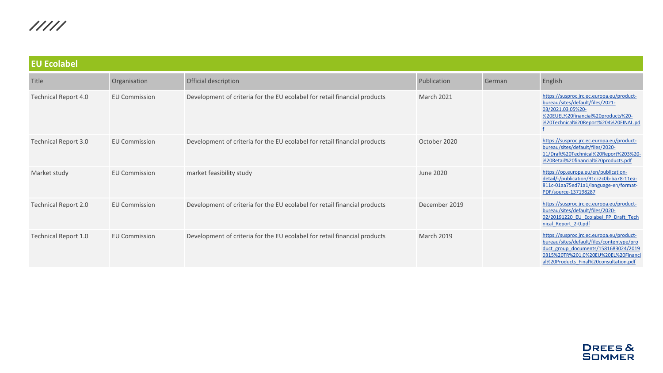<span id="page-15-0"></span>

| <b>EU Ecolabel</b>          |                      |                                                                           |                   |        |                                                                                                                                                                                                                |  |
|-----------------------------|----------------------|---------------------------------------------------------------------------|-------------------|--------|----------------------------------------------------------------------------------------------------------------------------------------------------------------------------------------------------------------|--|
| Title                       | Organisation         | Official description                                                      | Publication       | German | English                                                                                                                                                                                                        |  |
| Technical Report 4.0        | <b>EU Commission</b> | Development of criteria for the EU ecolabel for retail financial products | <b>March 2021</b> |        | https://susproc.jrc.ec.europa.eu/product-<br>bureau/sites/default/files/2021-<br>03/2021.03.05%20-<br>%20EUEL%20financial%20products%20-<br>%20Technical%20Report%204%20FINAL.pd                               |  |
| <b>Technical Report 3.0</b> | <b>EU Commission</b> | Development of criteria for the EU ecolabel for retail financial products | October 2020      |        | https://susproc.jrc.ec.europa.eu/product-<br>bureau/sites/default/files/2020-<br>11/Draft%20Technical%20Report%203%20-<br>%20Retail%20financial%20products.pdf                                                 |  |
| Market study                | <b>EU Commission</b> | market feasibility study                                                  | June 2020         |        | https://op.europa.eu/en/publication-<br>detail/-/publication/91cc2c0b-ba78-11ea-<br>811c-01aa75ed71a1/language-en/format-<br>PDF/source-137198287                                                              |  |
| Technical Report 2.0        | <b>EU Commission</b> | Development of criteria for the EU ecolabel for retail financial products | December 2019     |        | https://susproc.jrc.ec.europa.eu/product-<br>bureau/sites/default/files/2020-<br>02/20191220 EU Ecolabel FP Draft Tech<br>nical Report 2-0.pdf                                                                 |  |
| Technical Report 1.0        | <b>EU Commission</b> | Development of criteria for the EU ecolabel for retail financial products | <b>March 2019</b> |        | https://susproc.jrc.ec.europa.eu/product-<br>bureau/sites/default/files/contentype/pro<br>duct group documents/1581683024/2019<br>0315%20TR%201.0%20EU%20EL%20Financ<br>al%20Products Final%20consultation.pdf |  |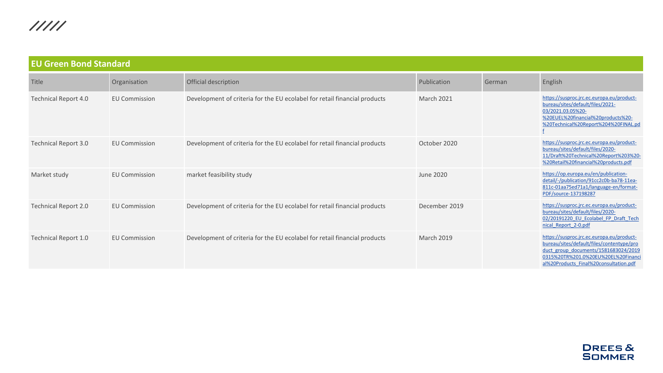<span id="page-16-0"></span>

| <b>EU Green Bond Standard</b> |                      |                                                                           |                   |        |                                                                                                                                                                                                                |  |
|-------------------------------|----------------------|---------------------------------------------------------------------------|-------------------|--------|----------------------------------------------------------------------------------------------------------------------------------------------------------------------------------------------------------------|--|
| Title                         | Organisation         | Official description                                                      | Publication       | German | English                                                                                                                                                                                                        |  |
| Technical Report 4.0          | <b>EU Commission</b> | Development of criteria for the EU ecolabel for retail financial products | <b>March 2021</b> |        | https://susproc.jrc.ec.europa.eu/product-<br>bureau/sites/default/files/2021-<br>03/2021.03.05%20-<br>%20EUEL%20financial%20products%20-<br>%20Technical%20Report%204%20FINAL.pd                               |  |
| <b>Technical Report 3.0</b>   | <b>EU Commission</b> | Development of criteria for the EU ecolabel for retail financial products | October 2020      |        | https://susproc.jrc.ec.europa.eu/product-<br>bureau/sites/default/files/2020-<br>11/Draft%20Technical%20Report%203%20-<br>%20Retail%20financial%20products.pdf                                                 |  |
| Market study                  | <b>EU Commission</b> | market feasibility study                                                  | June 2020         |        | https://op.europa.eu/en/publication-<br>detail/-/publication/91cc2c0b-ba78-11ea-<br>811c-01aa75ed71a1/language-en/format-<br>PDF/source-137198287                                                              |  |
| Technical Report 2.0          | <b>EU Commission</b> | Development of criteria for the EU ecolabel for retail financial products | December 2019     |        | https://susproc.jrc.ec.europa.eu/product-<br>bureau/sites/default/files/2020-<br>02/20191220 EU Ecolabel FP Draft Tech<br>nical Report 2-0.pdf                                                                 |  |
| Technical Report 1.0          | <b>EU Commission</b> | Development of criteria for the EU ecolabel for retail financial products | <b>March 2019</b> |        | https://susproc.jrc.ec.europa.eu/product-<br>bureau/sites/default/files/contentype/pro<br>duct group documents/1581683024/2019<br>0315%20TR%201.0%20EU%20EL%20Financ<br>al%20Products Final%20consultation.pdf |  |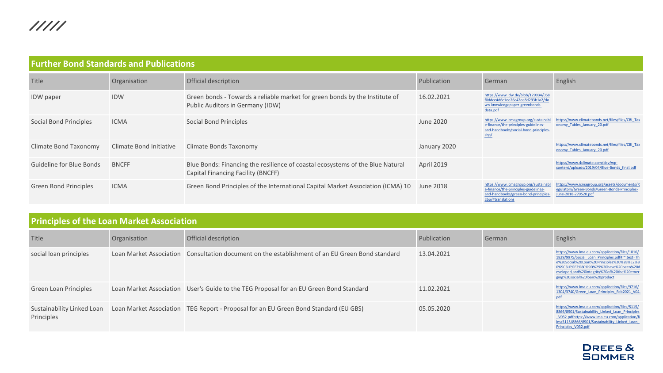<span id="page-17-0"></span>

| <b>Further Bond Standards and Publications</b> |                         |                                                                                                                      |              |                                                                                                                                          |                                                                                                                       |  |
|------------------------------------------------|-------------------------|----------------------------------------------------------------------------------------------------------------------|--------------|------------------------------------------------------------------------------------------------------------------------------------------|-----------------------------------------------------------------------------------------------------------------------|--|
| Title                                          | Organisation            | Official description                                                                                                 | Publication  | German                                                                                                                                   | English                                                                                                               |  |
| <b>IDW</b> paper                               | <b>IDW</b>              | Green bonds - Towards a reliable market for green bonds by the Institute of<br>Public Auditors in Germany (IDW)      | 16.02.2021   | https://www.idw.de/blob/129034/058<br>f0ddce4d6c1ee26c42ee8d293b1a2/do<br>wn-knowledgepaper-greenbonds-<br>data.pdf                      |                                                                                                                       |  |
| Social Bond Principles                         | <b>ICMA</b>             | Social Bond Principles                                                                                               | June 2020    | https://www.icmagroup.org/sustainab<br>e-finance/the-principles-guidelines-<br>and-handbooks/social-bond-principles-<br>sbp/             | https://www.climatebonds.net/files/files/CBI_Tax<br>onomy Tables January 20.pdf                                       |  |
| Climate Bond Taxonomy                          | Climate Bond Initiative | Climate Bonds Taxonomy                                                                                               | January 2020 |                                                                                                                                          | https://www.climatebonds.net/files/files/CBI_Tax<br>onomy Tables January 20.pdf                                       |  |
| Guideline for Blue Bonds                       | <b>BNCFF</b>            | Blue Bonds: Financing the resilience of coastal ecosystems of the Blue Natural<br>Capital Financing Facility (BNCFF) | April 2019   |                                                                                                                                          | https://www.4climate.com/dev/wp-<br>content/uploads/2019/04/Blue-Bonds final.pdf                                      |  |
| Green Bond Principles                          | <b>ICMA</b>             | Green Bond Principles of the International Capital Market Association (ICMA) 10                                      | June 2018    | https://www.icmagroup.org/sustainab<br>e-finance/the-principles-guidelines-<br>and-handbooks/green-bond-principles-<br>gbp/#translations | https://www.icmagroup.org/assets/documents/R<br>egulatory/Green-Bonds/Green-Bonds-Principles-<br>June-2018-270520.pdf |  |

| <b>Principles of the Loan Market Association</b> |  |
|--------------------------------------------------|--|
|--------------------------------------------------|--|

| Title                  | Organisation | Official description                                                                                            | Publication | German | English                                                                                                                                                                                                                                                                 |
|------------------------|--------------|-----------------------------------------------------------------------------------------------------------------|-------------|--------|-------------------------------------------------------------------------------------------------------------------------------------------------------------------------------------------------------------------------------------------------------------------------|
| social loan principles |              | Loan Market Association Consultation document on the establishment of an EU Green Bond standard                 | 13.04.2021  |        | https://www.lma.eu.com/application/files/1816/<br>1829/9975/Social Loan Principles.pdf#:~:text=Th<br>e%20Social%20Loan%20Principles%20%28%E2%8<br>0%9CSLP%E2%80%9D%29%20have%20been%20d<br>eveloped,and%20integrity%20of%20the%20emer<br>ging%20social%20loan%20product |
| Green Loan Principles  |              | Loan Market Association User's Guide to the TEG Proposal for an EU Green Bond Standard                          | 11.02.2021  |        | https://www.lma.eu.com/application/files/9716/<br>1304/3740/Green Loan Principles Feb2021 V04.                                                                                                                                                                          |
| Principles             |              | Sustainability Linked Loan Loan Market Association TEG Report - Proposal for an EU Green Bond Standard (EU GBS) | 05.05.2020  |        | https://www.lma.eu.com/application/files/5115/<br>8866/8901/Sustainability Linked Loan Principles<br>V032.pdfhttps://www.lma.eu.com/application/fi<br>les/5115/8866/8901/Sustainability Linked Loan<br>Principles V032.pdf                                              |

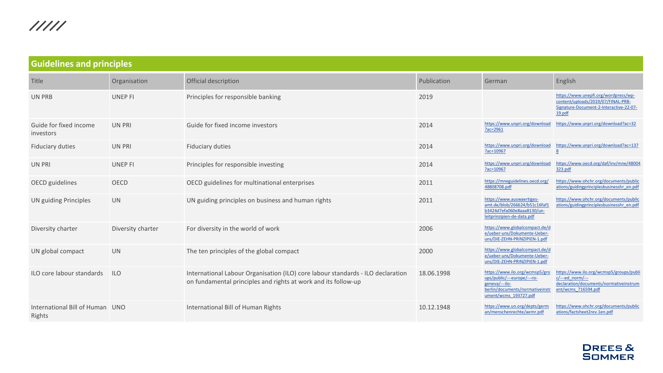<span id="page-18-0"></span>

| <b>Guidelines and principles</b>          |                   |                                                                                                                                                   |             |                                                                                                                                             |                                                                                                                                 |  |
|-------------------------------------------|-------------------|---------------------------------------------------------------------------------------------------------------------------------------------------|-------------|---------------------------------------------------------------------------------------------------------------------------------------------|---------------------------------------------------------------------------------------------------------------------------------|--|
| Title                                     | Organisation      | Official description                                                                                                                              | Publication | German                                                                                                                                      | English                                                                                                                         |  |
| UN PRB                                    | <b>UNEP FI</b>    | Principles for responsible banking                                                                                                                | 2019        |                                                                                                                                             | https://www.unepfi.org/wordpress/wp-<br>content/uploads/2019/07/FINAL-PRB-<br>Signature-Document-2-Interactive-22-07-<br>19.pdf |  |
| Guide for fixed income<br>investors       | <b>UN PRI</b>     | Guide for fixed income investors                                                                                                                  | 2014        | https://www.unpri.org/download<br>?ac=2961                                                                                                  | https://www.unpri.org/download?ac=32                                                                                            |  |
| Fiduciary duties                          | <b>UN PRI</b>     | <b>Fiduciary duties</b>                                                                                                                           | 2014        | https://www.unpri.org/download<br>?ac=10967                                                                                                 | https://www.unpri.org/download?ac=137                                                                                           |  |
| UN PRI                                    | <b>UNEP FI</b>    | Principles for responsible investing                                                                                                              | 2014        | https://www.unpri.org/download<br>Pac=10967                                                                                                 | https://www.oecd.org/daf/inv/mne/48004<br>323.pdf                                                                               |  |
| OECD guidelines                           | <b>OECD</b>       | OECD guidelines for multinational enterprises                                                                                                     | 2011        | https://mneguidelines.oecd.org/<br>48808708.pdf                                                                                             | https://www.ohchr.org/documents/public<br>ations/guidingprinciplesbusinesshr en.pdf                                             |  |
| <b>UN guiding Principles</b>              | <b>UN</b>         | UN guiding principles on business and human rights                                                                                                | 2011        | https://www.auswaertiges-<br>amt.de/blob/266624/b51c16faf1<br>b3424d7efa060e8aaa8130/un-<br>leitprinzipien-de-data.pdf                      | https://www.ohchr.org/documents/public<br>ations/guidingprinciplesbusinesshr en.pdf                                             |  |
| Diversity charter                         | Diversity charter | For diversity in the world of work                                                                                                                | 2006        | https://www.globalcompact.de/d<br>e/ueber-uns/Dokumente-Ueber-<br>uns/DIE-ZEHN-PRINZIPIEN-1.pdf                                             |                                                                                                                                 |  |
| UN global compact                         | <b>UN</b>         | The ten principles of the global compact                                                                                                          | 2000        | https://www.globalcompact.de/d<br>e/ueber-uns/Dokumente-Ueber-<br>uns/DIE-ZEHN-PRINZIPIEN-1.pdf                                             |                                                                                                                                 |  |
| ILO core labour standards                 | <b>ILO</b>        | International Labour Organisation (ILO) core labour standards - ILO declaration<br>on fundamental principles and rights at work and its follow-up | 18.06.1998  | https://www.ilo.org/wcmsp5/gro<br>ups/public/---europe/---ro-<br>geneva/---ilo-<br>berlin/documents/normativeinstr<br>ument/wcms 193727.pdf | https://www.ilo.org/wcmsp5/groups/publi<br>$c$ /---ed norm/---<br>declaration/documents/normativeinstrum<br>ent/wcms 716594.pdf |  |
| International Bill of Human UNO<br>Rights |                   | International Bill of Human Rights                                                                                                                | 10.12.1948  | https://www.un.org/depts/germ<br>an/menschenrechte/aemr.pdf                                                                                 | https://www.ohchr.org/documents/public<br>ations/factsheet2rev.1en.pdf                                                          |  |

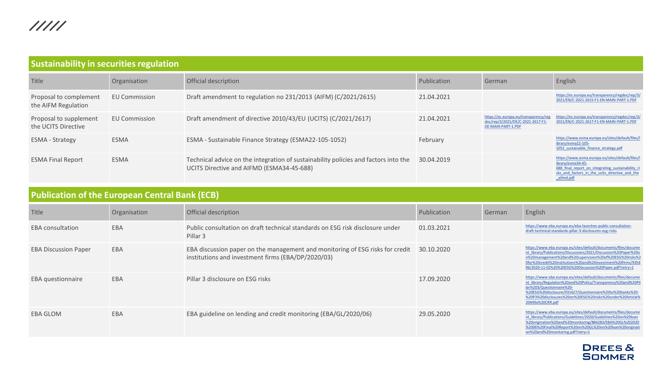<span id="page-19-0"></span>

| <b>Sustainability in securities regulation</b> |                      |                                                                                                                                  |             |                                                                                                  |                                                                                                                                                                                           |  |  |
|------------------------------------------------|----------------------|----------------------------------------------------------------------------------------------------------------------------------|-------------|--------------------------------------------------------------------------------------------------|-------------------------------------------------------------------------------------------------------------------------------------------------------------------------------------------|--|--|
| Title                                          | Organisation         | Official description                                                                                                             | Publication | German                                                                                           | English                                                                                                                                                                                   |  |  |
| Proposal to complement<br>the AIFM Regulation  | <b>EU Commission</b> | Draft amendment to regulation no 231/2013 (AIFM) (C/2021/2615)                                                                   | 21.04.2021  |                                                                                                  | https://ec.europa.eu/transparency/regdoc/rep/3/<br>2021/EN/C-2021-2615-F1-EN-MAIN-PART-1.PDF                                                                                              |  |  |
| Proposal to supplement<br>the UCITS Directive  | <b>EU Commission</b> | Draft amendment of directive 2010/43/EU (UCITS) (C/2021/2617)                                                                    | 21.04.2021  | https://ec.europa.eu/transparency/reg<br>doc/rep/3/2021/DE/C-2021-2617-F1-<br>DE-MAIN-PART-1.PDF | https://ec.europa.eu/transparency/regdoc/rep/3/<br>2021/EN/C-2021-2617-F1-EN-MAIN-PART-1.PDF                                                                                              |  |  |
| <b>ESMA - Strategy</b>                         | <b>ESMA</b>          | ESMA - Sustainable Finance Strategy (ESMA22-105-1052)                                                                            | February    |                                                                                                  | https://www.esma.europa.eu/sites/default/files/l<br>ibrary/esma22-105-<br>1052 sustainable finance strategy.pdf                                                                           |  |  |
| <b>ESMA Final Report</b>                       | <b>ESMA</b>          | Technical advice on the integration of sustainability policies and factors into the<br>UCITS Directive and AIFMD (ESMA34-45-688) | 30.04.2019  |                                                                                                  | https://www.esma.europa.eu/sites/default/files/l<br>ibrary/esma34-45-<br>688 final report on integrating sustainability ri<br>sks and factors in the ucits directive and the<br>aifmd.pdf |  |  |

### **Publication of the European Central Bank (ECB)**

| Title                       | Organisation | Official description                                                                                                                | Publication | German | English                                                                                                                                                                                                                                                                                                                 |
|-----------------------------|--------------|-------------------------------------------------------------------------------------------------------------------------------------|-------------|--------|-------------------------------------------------------------------------------------------------------------------------------------------------------------------------------------------------------------------------------------------------------------------------------------------------------------------------|
| <b>EBA</b> consultation     | EBA          | Public consultation on draft technical standards on ESG risk disclosure under<br>Pillar 3                                           | 01.03.2021  |        | https://www.eba.europa.eu/eba-launches-public-consultation-<br>draft-technical-standards-pillar-3-disclosures-esg-risks                                                                                                                                                                                                 |
| <b>EBA Discussion Paper</b> | EBA          | EBA discussion paper on the management and monitoring of ESG risks for credit<br>institutions and investment firms (EBA/DP/2020/03) | 30.10.2020  |        | https://www.eba.europa.eu/sites/default/documents/files/docume<br>nt_library/Publications/Discussions/2021/Discussion%20Paper%20o<br>n%20management%20and%20supervision%20of%20ESG%20risks%2<br>Ofor%20credit%20institutions%20and%20investment%20firms/9354<br>96/2020-11-02%20%20ESG%20Discussion%20Paper.pdf?retry=1 |
| <b>EBA</b> questionnaire    | EBA          | Pillar 3 disclosure on ESG risks                                                                                                    | 17.09.2020  |        | https://www.eba.europa.eu/sites/default/documents/files/docume<br>nt_library/Regulation%20and%20Policy/Transparency%20and%20Pil<br>lar%203/Questionnaire%20-<br>%20ESG%20disclosure/931627/Questionnaire%20to%20banks%20-<br>%20P3%20disclosures%20on%20ESG%20risks%20under%20Article%<br>20449a%20CRR.pdf              |
| EBA GLOM                    | EBA          | EBA guideline on lending and credit monitoring (EBA/GL/2020/06)                                                                     | 29.05.2020  |        | https://www.eba.europa.eu/sites/default/documents/files/docume<br>nt library/Publications/Guidelines/2020/Guidelines%20on%20loan<br>%20origination%20and%20monitoring/884283/EBA%20GL%202020<br>%2006%20Final%20Report%20on%20GL%20on%20loan%20originati<br>on%20and%20monitoring.pdf?retry=1                           |